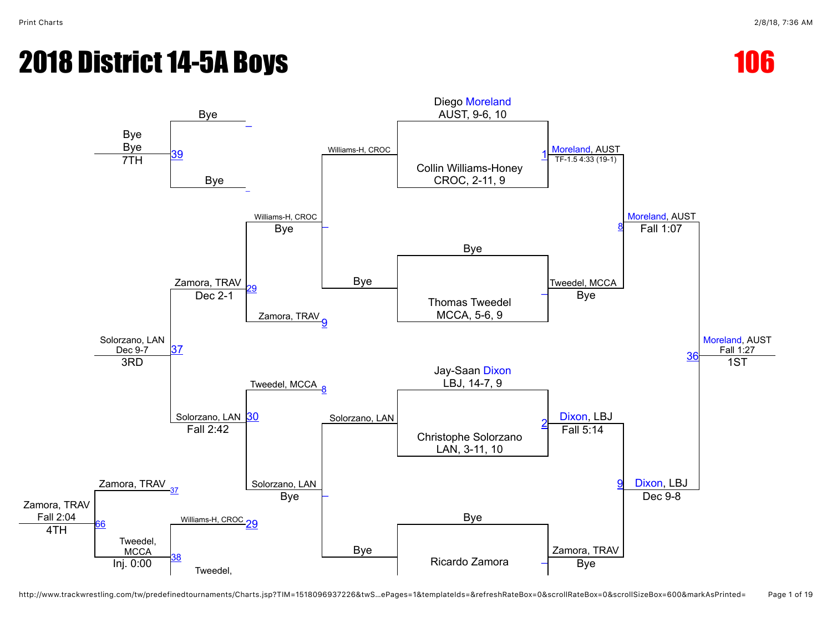



http://www.trackwrestling.com/tw/predefinedtournaments/Charts.jsp?TIM=1518096937226&twS…ePages=1&templateIds=&refreshRateBox=0&scrollRateBox=0&scrollSizeBox=600&markAsPrinted= Page 1 of 19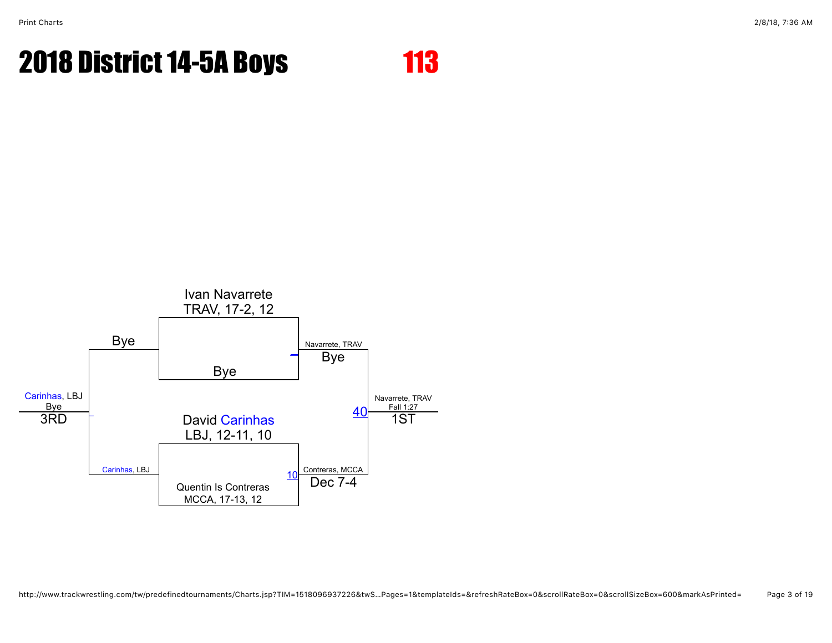

http://www.trackwrestling.com/tw/predefinedtournaments/Charts.jsp?TIM=1518096937226&twS…Pages=1&templateIds=&refreshRateBox=0&scrollRateBox=0&scrollSizeBox=600&markAsPrinted= Page 3 of 19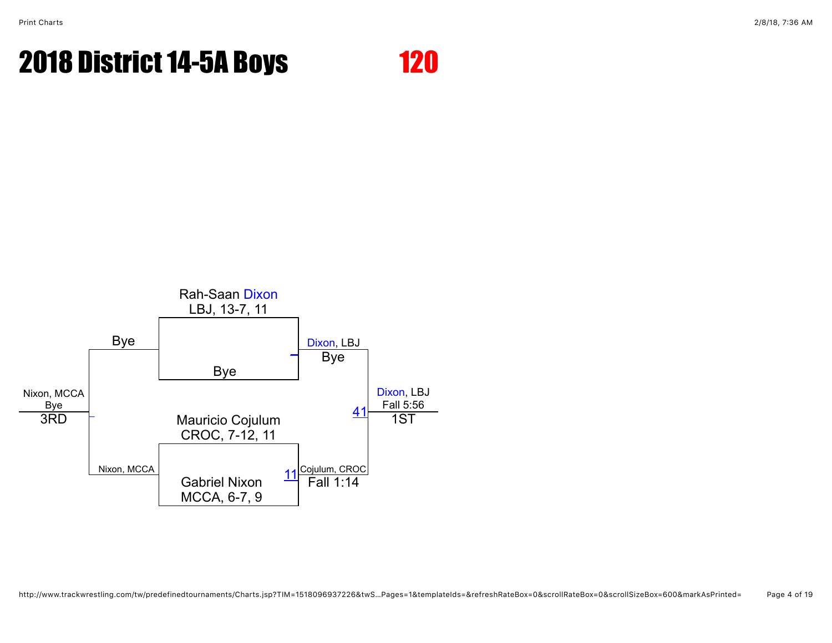

http://www.trackwrestling.com/tw/predefinedtournaments/Charts.jsp?TIM=1518096937226&twS…Pages=1&templateIds=&refreshRateBox=0&scrollRateBox=0&scrollSizeBox=600&markAsPrinted= Page 4 of 19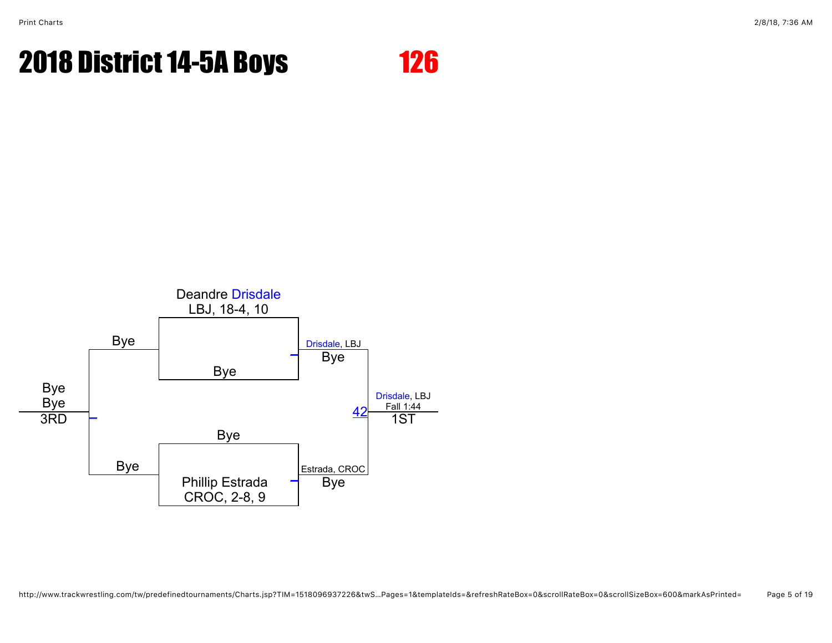

http://www.trackwrestling.com/tw/predefinedtournaments/Charts.jsp?TIM=1518096937226&twS…Pages=1&templateIds=&refreshRateBox=0&scrollRateBox=0&scrollSizeBox=600&markAsPrinted= Page 5 of 19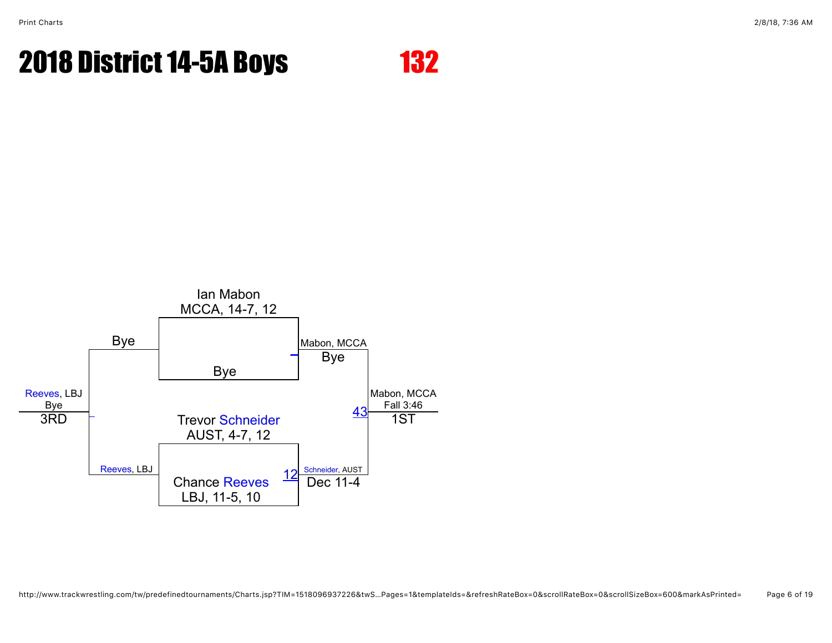

http://www.trackwrestling.com/tw/predefinedtournaments/Charts.jsp?TIM=1518096937226&twS…Pages=1&templateIds=&refreshRateBox=0&scrollRateBox=0&scrollSizeBox=600&markAsPrinted= Page 6 of 19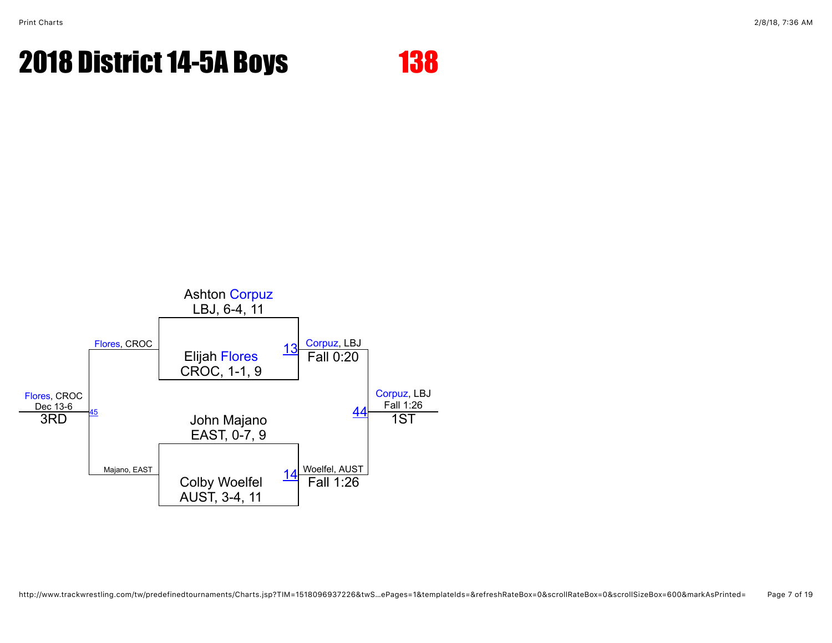

http://www.trackwrestling.com/tw/predefinedtournaments/Charts.jsp?TIM=1518096937226&twS…ePages=1&templateIds=&refreshRateBox=0&scrollRateBox=0&scrollSizeBox=600&markAsPrinted= Page 7 of 19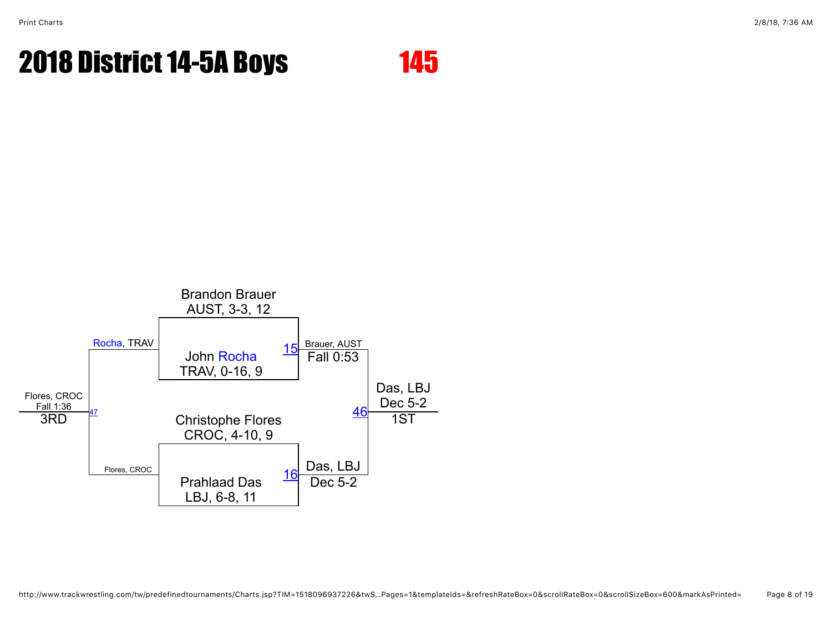

http://www.trackwrestling.com/tw/predefinedtournaments/Charts.jsp?TIM=1518096937226&twS…Pages=1&templateIds=&refreshRateBox=0&scrollRateBox=0&scrollSizeBox=600&markAsPrinted= Page 8 of 19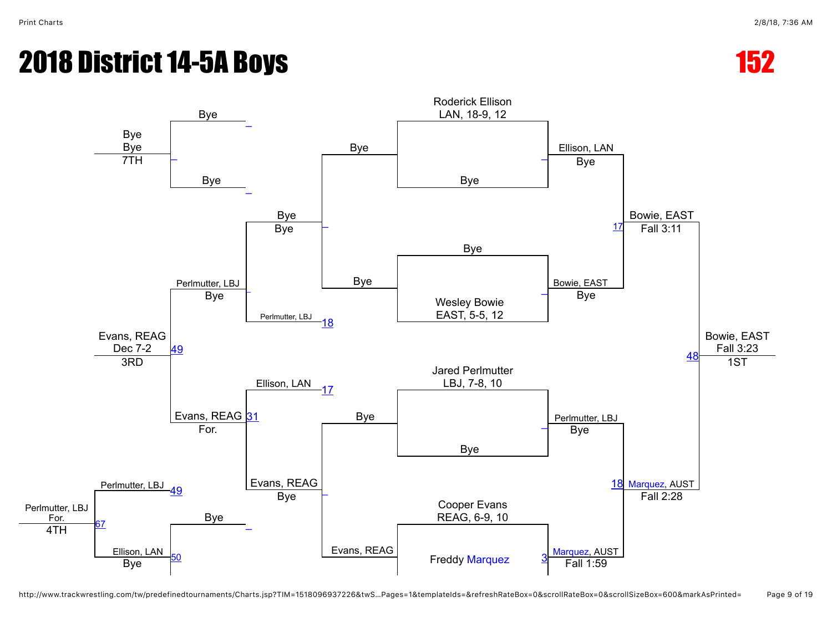



http://www.trackwrestling.com/tw/predefinedtournaments/Charts.jsp?TIM=1518096937226&twS…Pages=1&templateIds=&refreshRateBox=0&scrollRateBox=0&scrollSizeBox=600&markAsPrinted= Page 9 of 19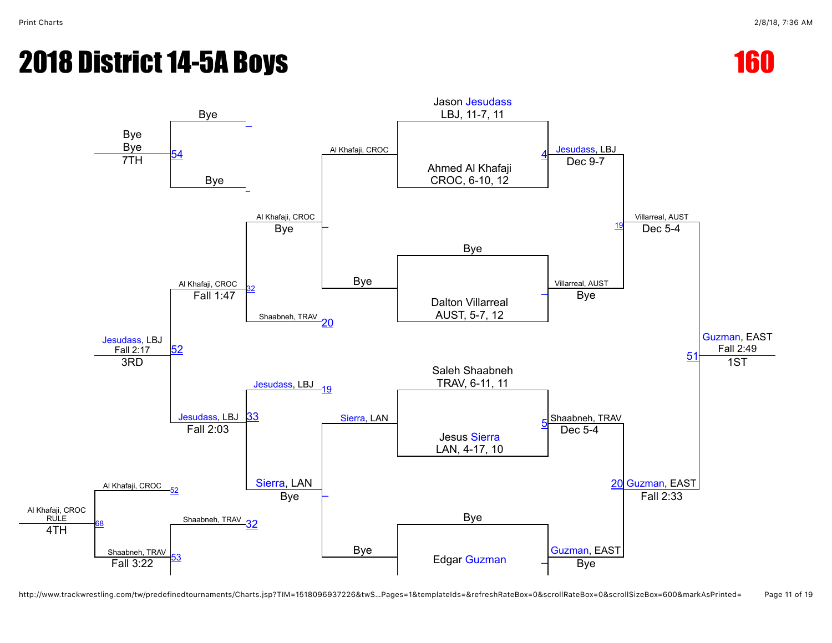



http://www.trackwrestling.com/tw/predefinedtournaments/Charts.jsp?TIM=1518096937226&twS…Pages=1&templateIds=&refreshRateBox=0&scrollRateBox=0&scrollSizeBox=600&markAsPrinted= Page 11 of 19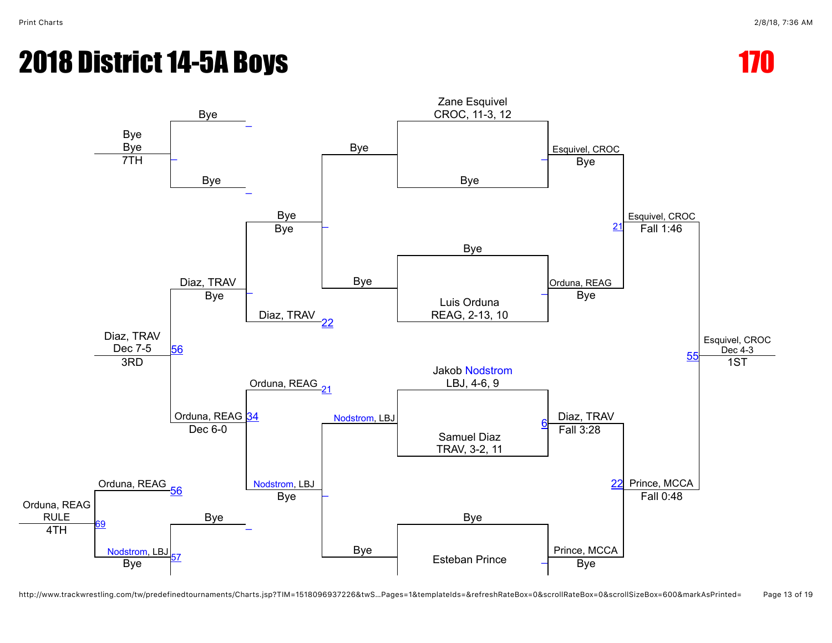

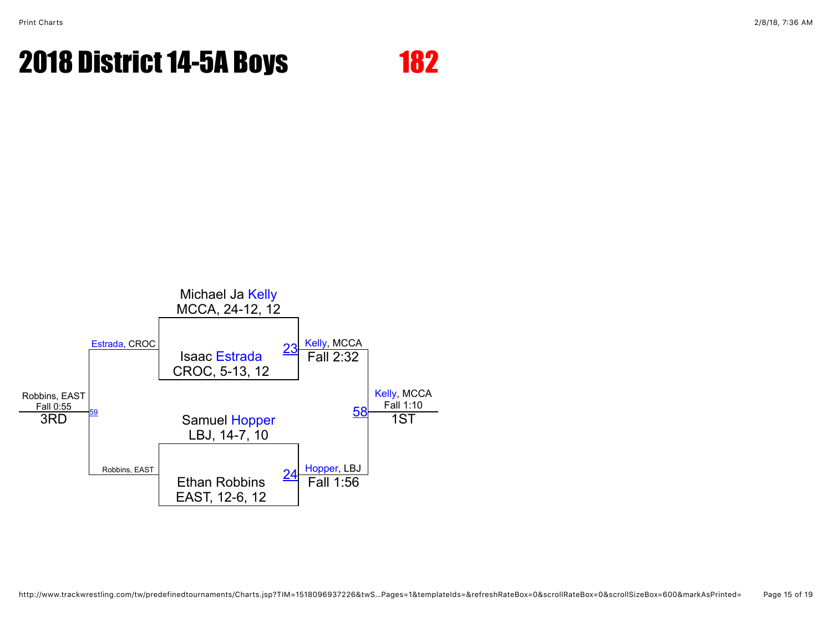

http://www.trackwrestling.com/tw/predefinedtournaments/Charts.jsp?TIM=1518096937226&twS…Pages=1&templateIds=&refreshRateBox=0&scrollRateBox=0&scrollSizeBox=600&markAsPrinted= Page 15 of 19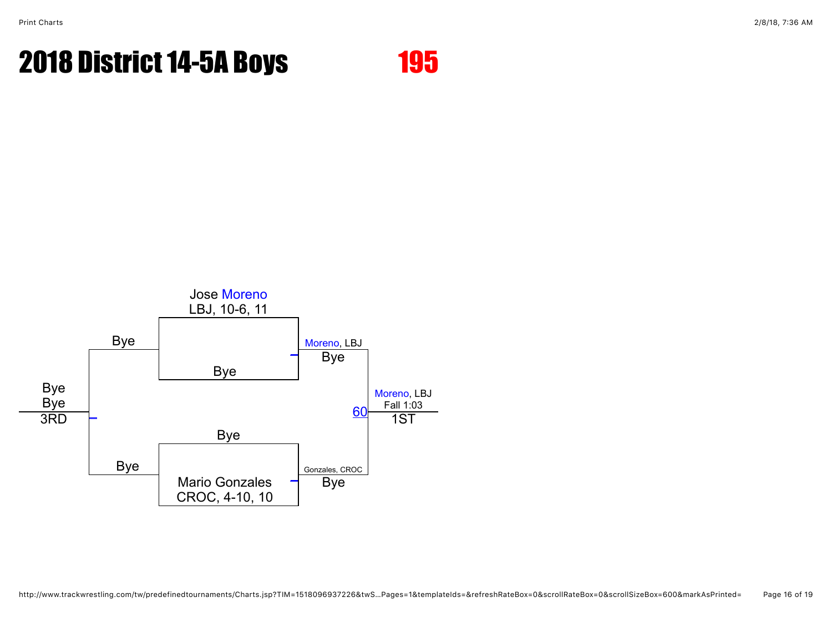

http://www.trackwrestling.com/tw/predefinedtournaments/Charts.jsp?TIM=1518096937226&twS…Pages=1&templateIds=&refreshRateBox=0&scrollRateBox=0&scrollSizeBox=600&markAsPrinted= Page 16 of 19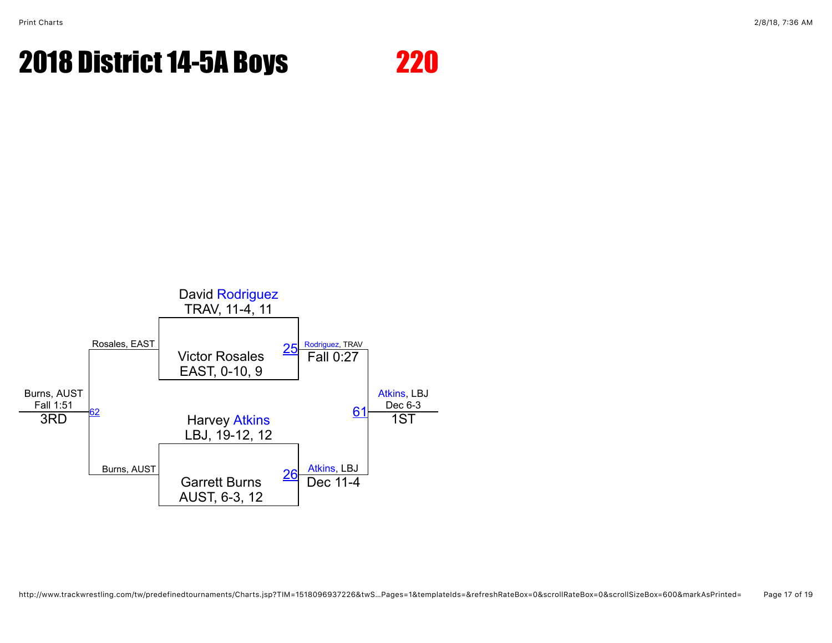

http://www.trackwrestling.com/tw/predefinedtournaments/Charts.jsp?TIM=1518096937226&twS…Pages=1&templateIds=&refreshRateBox=0&scrollRateBox=0&scrollSizeBox=600&markAsPrinted= Page 17 of 19